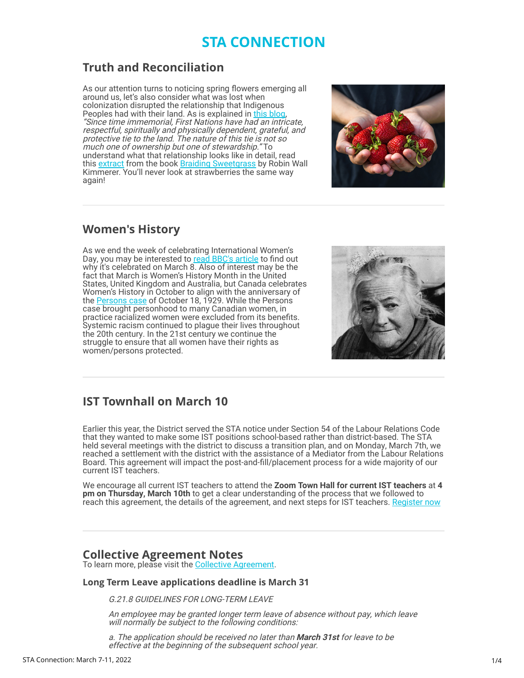# **STA CONNECTION**

## **Truth and Reconciliation**

As our attention turns to noticing spring flowers emerging all around us, let's also consider what was lost when colonization disrupted the relationship that Indigenous Peoples had with their land. As is explained in [this blog,](https://surreyteachers.us20.list-manage.com/track/click?u=37ec644ae87e34b54b3912660&id=0cba38b0d1&e=7261da6bdb) "Since time immemorial, First Nations have had an intricate, respectful, spiritually and physically dependent, grateful, and protective tie to the land. The nature of this tie is not so much one of ownership but one of stewardship." To understand what that relationship looks like in detail, read this **extract** from the book **[Braiding Sweetgrass](https://surreyteachers.us20.list-manage.com/track/click?u=37ec644ae87e34b54b3912660&id=b4fb6adea3&e=7261da6bdb)** by Robin Wall Kimmerer. You'll never look at strawberries the same way again!



# **Women's History**

As we end the week of celebrating International Women's Day, you may be interested to [read BBC's article](https://surreyteachers.us20.list-manage.com/track/click?u=37ec644ae87e34b54b3912660&id=7c30f98328&e=7261da6bdb) to find out why it's celebrated on March 8. Also of interest may be the fact that March is Women's History Month in the United States, United Kingdom and Australia, but Canada celebrates Women's History in October to align with the anniversary of the <u>Persons case</u> of October 18, 1929. While the Persons case brought personhood to many Canadian women, in practice racialized women were excluded from its benefits. Systemic racism continued to plague their lives throughout the 20th century. In the 21st century we continue the struggle to ensure that all women have their rights as women/persons protected.



# **IST Townhall on March 10**

Earlier this year, the District served the STA notice under Section 54 of the Labour Relations Code that they wanted to make some IST positions school-based rather than district-based. The STA held several meetings with the district to discuss a transition plan, and on Monday, March 7th, we reached a settlement with the district with the assistance of a Mediator from the Labour Relations Board. This agreement will impact the post-and-fill/placement process for a wide majority of our current IST teachers.

We encourage all current IST teachers to attend the **Zoom Town Hall for current IST teachers** at **4 pm on Thursday, March 10th** to get a clear understanding of the process that we followed to reach this agreement, the details of the agreement, and next steps for IST teachers. [Register now](https://surreyteachers.us20.list-manage.com/track/click?u=37ec644ae87e34b54b3912660&id=463fbddc03&e=7261da6bdb)

### **Collective Agreement Notes**

To learn more, please visit the [Collective Agreement](https://surreyteachers.us20.list-manage.com/track/click?u=37ec644ae87e34b54b3912660&id=b5ec441333&e=7261da6bdb).

### **Long Term Leave applications deadline is March 31**

G.21.8 GUIDELINES FOR LONG-TERM LEAVE

An employee may be granted longer term leave of absence without pay, which leave will normally be subject to the following conditions:

a. The application should be received no later than **March 31st** for leave to be effective at the beginning of the subsequent school year.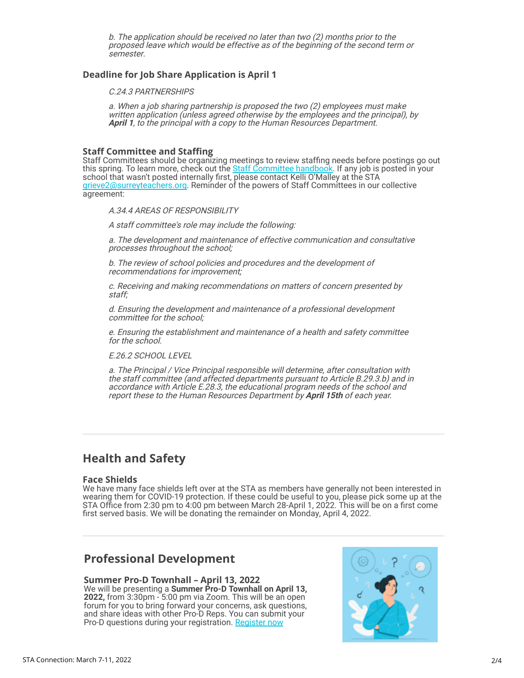b. The application should be received no later than two (2) months prior to the proposed leave which would be effective as of the beginning of the second term or semester.

### **Deadline for Job Share Application is April 1**

C.24.3 PARTNERSHIPS

a. When a job sharing partnership is proposed the two (2) employees must make written application (unless agreed otherwise by the employees and the principal), by April 1, to the principal with a copy to the Human Resources Department.

#### **Staff Committee and Staffing**

Staff Committees should be organizing meetings to review staffing needs before postings go out this spring. To learn more, check out the **[Staff Committee handbook](https://surreyteachers.us20.list-manage.com/track/click?u=37ec644ae87e34b54b3912660&id=a4fa324bec&e=7261da6bdb)**. If any job is posted in your school that wasn't posted internally first, please contact Kelli O'Malley at the STA [grieve2@surreyteachers.org](mailto:grieve2@surreyteachers.org). Reminder of the powers of Staff Committees in our collective agreement:

A.34.4 AREAS OF RESPONSIBILITY

A staff committee's role may include the following:

a. The development and maintenance of effective communication and consultative processes throughout the school;

b. The review of school policies and procedures and the development of recommendations for improvement;

c. Receiving and making recommendations on matters of concern presented by staff;

d. Ensuring the development and maintenance of a professional development committee for the school;

e. Ensuring the establishment and maintenance of a health and safety committee for the school.

E.26.2 SCHOOL LEVEL

a. The Principal / Vice Principal responsible will determine, after consultation with the staff committee (and affected departments pursuant to Article B.29.3.b) and in accordance with Article E.28.3, the educational program needs of the school and report these to the Human Resources Department by **April 15th** of each year.

### **Health and Safety**

#### **Face Shields**

We have many face shields left over at the STA as members have generally not been interested in wearing them for COVID-19 protection. If these could be useful to you, please pick some up at the STA Office from 2:30 pm to 4:00 pm between March 28-April 1, 2022. This will be on a first come first served basis. We will be donating the remainder on Monday, April 4, 2022.

### **Professional Development**

**Summer Pro-D Townhall – April 13, 2022** We will be presenting a **Summer Pro-D Townhall on April 13, 2022,** from 3:30pm - 5:00 pm via Zoom. This will be an open forum for you to bring forward your concerns, ask questions, and share ideas with other Pro-D Reps. You can submit your Pro-D questions during your registration. [Register now](https://surreyteachers.us20.list-manage.com/track/click?u=37ec644ae87e34b54b3912660&id=181485b428&e=7261da6bdb)

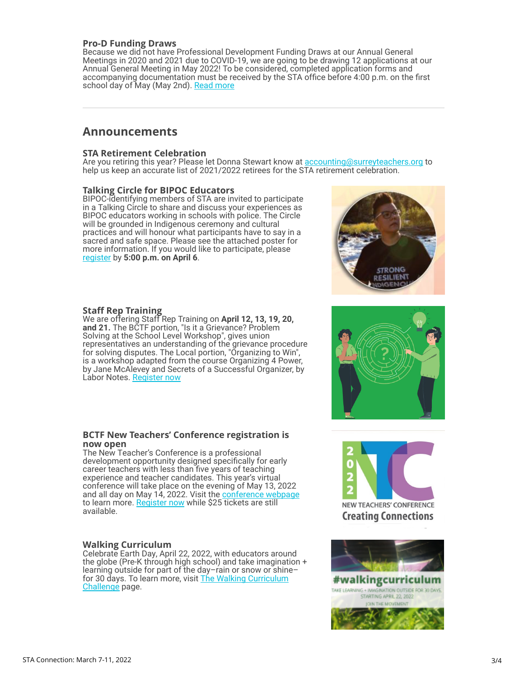#### **Pro-D Funding Draws**

Because we did not have Professional Development Funding Draws at our Annual General Meetings in 2020 and 2021 due to COVID-19, we are going to be drawing 12 applications at our Annual General Meeting in May 2022! To be considered, completed application forms and accompanying documentation must be received by the STA office before 4:00 p.m. on the first school day of May (May 2nd). [Read more](https://surreyteachers.us20.list-manage.com/track/click?u=37ec644ae87e34b54b3912660&id=9968e89e12&e=7261da6bdb)

### **Announcements**

#### **STA Retirement Celebration**

Are you retiring this year? Please let Donna Stewart know at [accounting@surreyteachers.org](mailto:accounting@surreyteachers.org) to help us keep an accurate list of 2021/2022 retirees for the STA retirement celebration.

#### **Talking Circle for BIPOC Educators**

BIPOC-identifying members of STA are invited to participate in a Talking Circle to share and discuss your experiences as BIPOC educators working in schools with police. The Circle will be grounded in Indigenous ceremony and cultural practices and will honour what participants have to say in a sacred and safe space. Please see the attached poster for more information. If you would like to participate, please [register](https://surreyteachers.us20.list-manage.com/track/click?u=37ec644ae87e34b54b3912660&id=7ffcf0338c&e=7261da6bdb) by **5:00 p.m. on April 6**.



#### **Staff Rep Training**

We are offering Staff Rep Training on **April 12, 13, 19, 20, and 21.** The BCTF portion, "Is it a Grievance? Problem Solving at the School Level Workshop", gives union representatives an understanding of the grievance procedure for solving disputes. The Local portion, "Organizing to Win", is a workshop adapted from the course Organizing 4 Power, by Jane McAlevey and Secrets of a Successful Organizer, by Labor Notes. [Register now](https://surreyteachers.us20.list-manage.com/track/click?u=37ec644ae87e34b54b3912660&id=145711f1c2&e=7261da6bdb)



#### **BCTF New Teachers' Conference registration is now open**

The New Teacher's Conference is a professional development opportunity designed specifically for early career teachers with less than five years of teaching experience and teacher candidates. This year's virtual conference will take place on the evening of May 13, 2022 and all day on May 14, 2022. Visit the [conference webpage](https://surreyteachers.us20.list-manage.com/track/click?u=37ec644ae87e34b54b3912660&id=6d376dab84&e=7261da6bdb) to learn more. [Register now](https://surreyteachers.us20.list-manage.com/track/click?u=37ec644ae87e34b54b3912660&id=e3cd9be245&e=7261da6bdb) while \$25 tickets are still available.

### **Walking Curriculum**

Celebrate Earth Day, April 22, 2022, with educators around the globe (Pre-K through high school) and take imagination + learning outside for part of the day–rain or snow or shine– [for 30 days. To learn more, visit The Walking Curriculum](https://surreyteachers.us20.list-manage.com/track/click?u=37ec644ae87e34b54b3912660&id=da25af585a&e=7261da6bdb) Challenge page.



**Creating Connections**